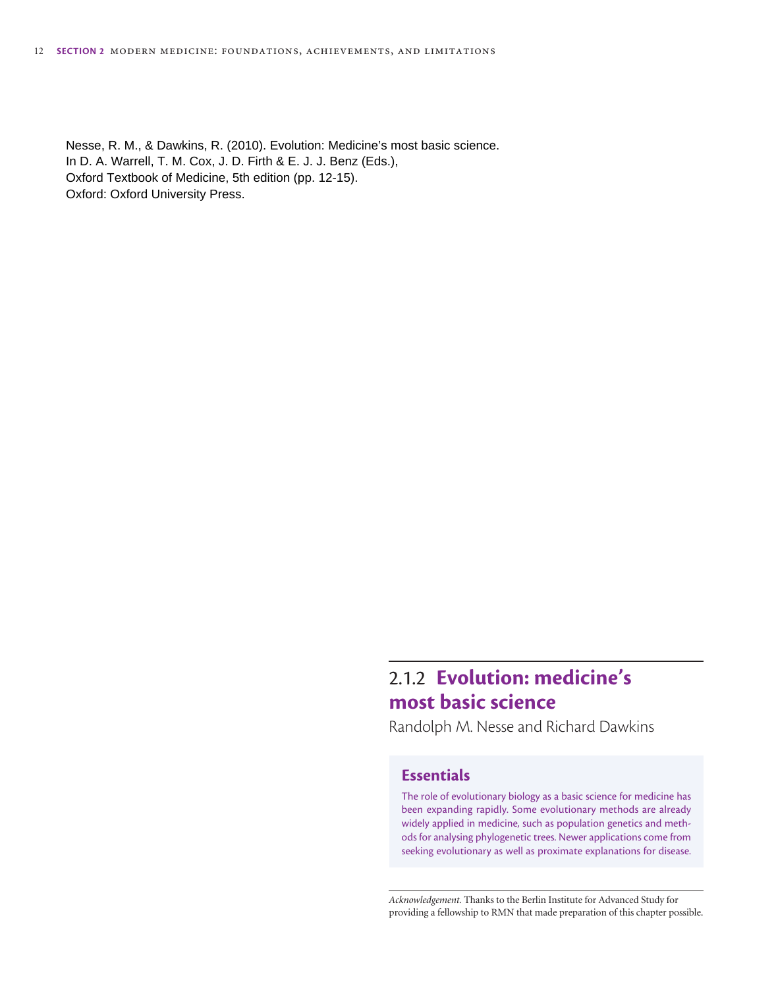Nesse, R. M., & Dawkins, R. (2010). Evolution: Medicine's most basic science. In D. A. Warrell, T. M. Cox, J. D. Firth & E. J. J. Benz (Eds.), Oxford Textbook of Medicine, 5th edition (pp. 12-15). Oxford: Oxford University Press.

# 2.1.2 **Evolution: medicine's most basic science**

Randolph M. Nesse and Richard Dawkins

# **Essentials**

 The role of evolutionary biology as a basic science for medicine has been expanding rapidly. Some evolutionary methods are already widely applied in medicine, such as population genetics and methods for analysing phylogenetic trees. Newer applications come from seeking evolutionary as well as proximate explanations for disease.

*Acknowledgement.* Thanks to the Berlin Institute for Advanced Study for providing a fellowship to RMN that made preparation of this chapter possible.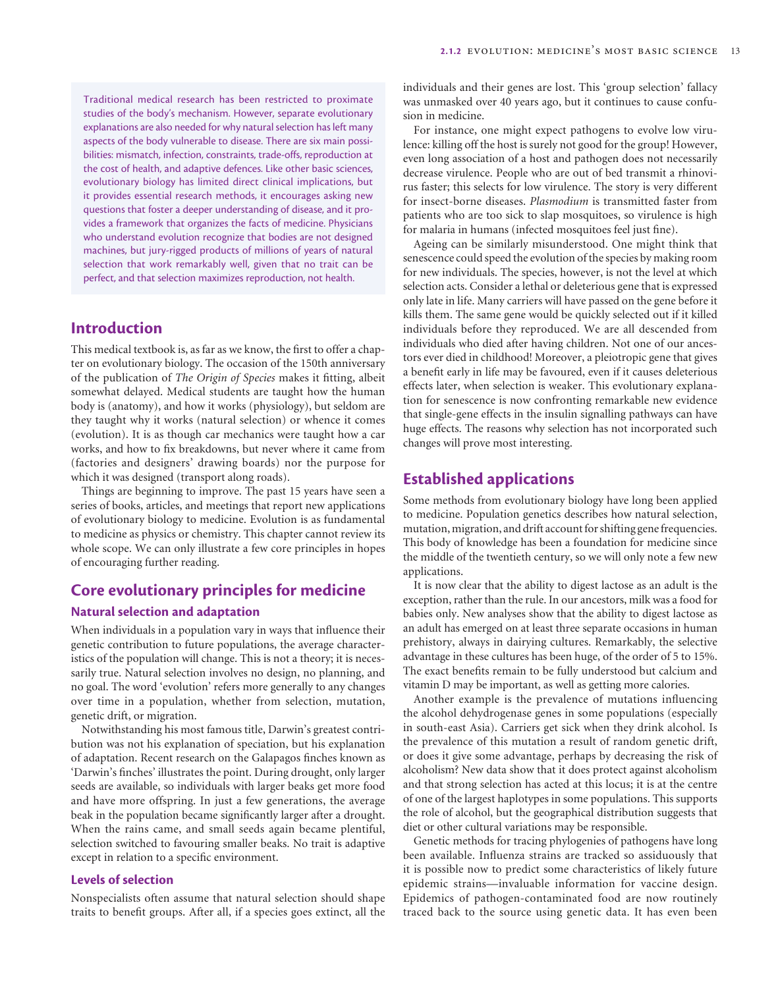Traditional medical research has been restricted to proximate studies of the body's mechanism. However, separate evolutionary explanations are also needed for why natural selection has left many aspects of the body vulnerable to disease. There are six main possibilities: mismatch, infection, constraints, trade-offs, reproduction at the cost of health, and adaptive defences. Like other basic sciences, evolutionary biology has limited direct clinical implications, but it provides essential research methods, it encourages asking new questions that foster a deeper understanding of disease, and it provides a framework that organizes the facts of medicine. Physicians who understand evolution recognize that bodies are not designed machines, but jury-rigged products of millions of years of natural selection that work remarkably well, given that no trait can be perfect, and that selection maximizes reproduction, not health.

# **Introduction**

This medical textbook is, as far as we know, the first to offer a chapter on evolutionary biology. The occasion of the 150th anniversary of the publication of *The Origin of Species* makes it fitting, albeit somewhat delayed. Medical students are taught how the human body is (anatomy), and how it works (physiology), but seldom are they taught why it works (natural selection) or whence it comes (evolution). It is as though car mechanics were taught how a car works, and how to fix breakdowns, but never where it came from (factories and designers' drawing boards) nor the purpose for which it was designed (transport along roads).

 Things are beginning to improve. The past 15 years have seen a series of books, articles, and meetings that report new applications of evolutionary biology to medicine. Evolution is as fundamental to medicine as physics or chemistry. This chapter cannot review its whole scope. We can only illustrate a few core principles in hopes of encouraging further reading.

## **Core evolutionary principles for medicine**

#### **Natural selection and adaptation**

When individuals in a population vary in ways that influence their genetic contribution to future populations, the average characteristics of the population will change. This is not a theory; it is necessarily true. Natural selection involves no design, no planning, and no goal. The word 'evolution' refers more generally to any changes over time in a population, whether from selection, mutation, genetic drift, or migration.

 Notwithstanding his most famous title, Darwin's greatest contribution was not his explanation of speciation, but his explanation of adaptation. Recent research on the Galapagos finches known as 'Darwin's finches' illustrates the point. During drought, only larger seeds are available, so individuals with larger beaks get more food and have more offspring. In just a few generations, the average beak in the population became significantly larger after a drought. When the rains came, and small seeds again became plentiful, selection switched to favouring smaller beaks. No trait is adaptive except in relation to a specific environment.

#### **Levels of selection**

 Nonspecialists often assume that natural selection should shape traits to benefit groups. After all, if a species goes extinct, all the

individuals and their genes are lost. This 'group selection' fallacy was unmasked over 40 years ago, but it continues to cause confusion in medicine.

 For instance, one might expect pathogens to evolve low virulence: killing off the host is surely not good for the group! However, even long association of a host and pathogen does not necessarily decrease virulence. People who are out of bed transmit a rhinovirus faster; this selects for low virulence. The story is very different for insect-borne diseases. *Plasmodium* is transmitted faster from patients who are too sick to slap mosquitoes, so virulence is high for malaria in humans (infected mosquitoes feel just fine).

 Ageing can be similarly misunderstood. One might think that senescence could speed the evolution of the species by making room for new individuals. The species, however, is not the level at which selection acts. Consider a lethal or deleterious gene that is expressed only late in life. Many carriers will have passed on the gene before it kills them. The same gene would be quickly selected out if it killed individuals before they reproduced. We are all descended from individuals who died after having children. Not one of our ancestors ever died in childhood! Moreover, a pleiotropic gene that gives a benefit early in life may be favoured, even if it causes deleterious effects later, when selection is weaker. This evolutionary explanation for senescence is now confronting remarkable new evidence that single-gene effects in the insulin signalling pathways can have huge effects. The reasons why selection has not incorporated such changes will prove most interesting.

### **Established applications**

 Some methods from evolutionary biology have long been applied to medicine. Population genetics describes how natural selection, mutation, migration, and drift account for shifting gene frequencies. This body of knowledge has been a foundation for medicine since the middle of the twentieth century, so we will only note a few new applications.

 It is now clear that the ability to digest lactose as an adult is the exception, rather than the rule. In our ancestors, milk was a food for babies only. New analyses show that the ability to digest lactose as an adult has emerged on at least three separate occasions in human prehistory, always in dairying cultures. Remarkably, the selective advantage in these cultures has been huge, of the order of 5 to 15%. The exact benefits remain to be fully understood but calcium and vitamin D may be important, as well as getting more calories.

Another example is the prevalence of mutations influencing the alcohol dehydrogenase genes in some populations (especially in south-east Asia). Carriers get sick when they drink alcohol. Is the prevalence of this mutation a result of random genetic drift, or does it give some advantage, perhaps by decreasing the risk of alcoholism? New data show that it does protect against alcoholism and that strong selection has acted at this locus; it is at the centre of one of the largest haplotypes in some populations. This supports the role of alcohol, but the geographical distribution suggests that diet or other cultural variations may be responsible.

 Genetic methods for tracing phylogenies of pathogens have long been available. Influenza strains are tracked so assiduously that it is possible now to predict some characteristics of likely future epidemic strains—invaluable information for vaccine design. Epidemics of pathogen-contaminated food are now routinely traced back to the source using genetic data. It has even been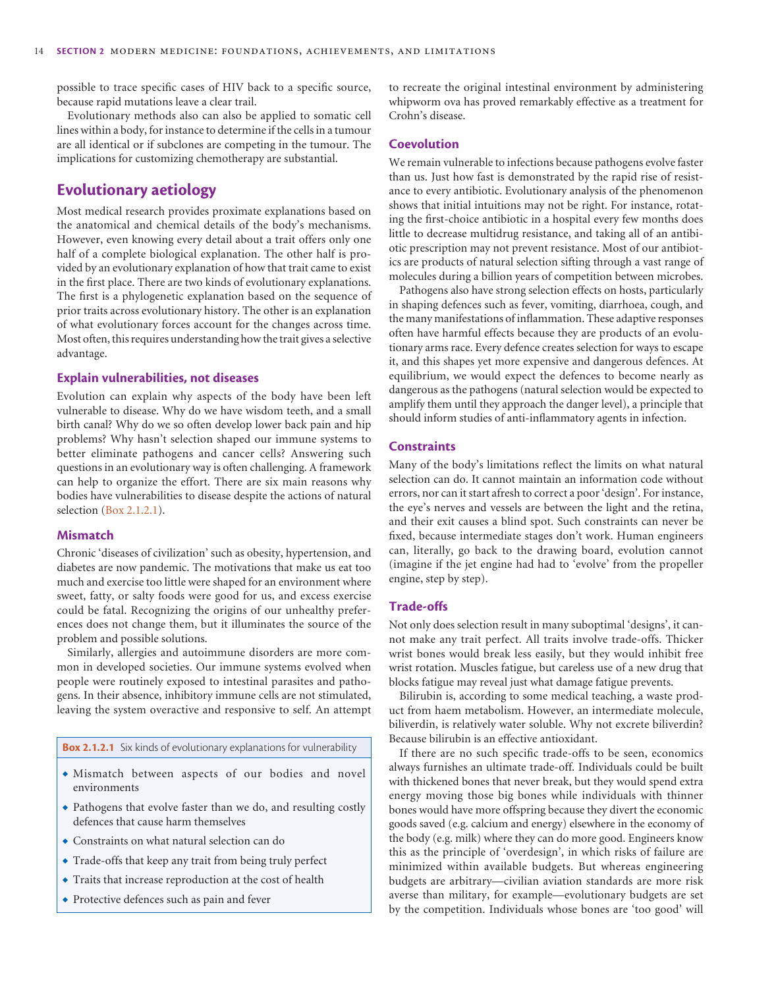possible to trace specific cases of HIV back to a specific source, because rapid mutations leave a clear trail.

 Evolutionary methods also can also be applied to somatic cell lines within a body, for instance to determine if the cells in a tumour are all identical or if subclones are competing in the tumour. The implications for customizing chemotherapy are substantial.

# **Evolutionary aetiology**

 Most medical research provides proximate explanations based on the anatomical and chemical details of the body's mechanisms. However, even knowing every detail about a trait offers only one half of a complete biological explanation. The other half is provided by an evolutionary explanation of how that trait came to exist in the first place. There are two kinds of evolutionary explanations. The first is a phylogenetic explanation based on the sequence of prior traits across evolutionary history. The other is an explanation of what evolutionary forces account for the changes across time. Most often, this requires understanding how the trait gives a selective advantage.

#### **Explain vulnerabilities, not diseases**

 Evolution can explain why aspects of the body have been left vulnerable to disease. Why do we have wisdom teeth, and a small birth canal? Why do we so often develop lower back pain and hip problems? Why hasn't selection shaped our immune systems to better eliminate pathogens and cancer cells? Answering such questions in an evolutionary way is often challenging. A framework can help to organize the effort. There are six main reasons why bodies have vulnerabilities to disease despite the actions of natural selection (Box 2.1.2.1).

#### **Mismatch**

 Chronic 'diseases of civilization' such as obesity, hypertension, and diabetes are now pandemic. The motivations that make us eat too much and exercise too little were shaped for an environment where sweet, fatty, or salty foods were good for us, and excess exercise could be fatal. Recognizing the origins of our unhealthy preferences does not change them, but it illuminates the source of the problem and possible solutions.

 Similarly, allergies and autoimmune disorders are more common in developed societies. Our immune systems evolved when people were routinely exposed to intestinal parasites and pathogens. In their absence, inhibitory immune cells are not stimulated, leaving the system overactive and responsive to self. An attempt

**Box 2.1.2.1** Six kinds of evolutionary explanations for vulnerability

- ◆ Mismatch between aspects of our bodies and novel environments
- ◆ Pathogens that evolve faster than we do, and resulting costly defences that cause harm themselves
- ◆ Constraints on what natural selection can do
- ◆ Trade-offs that keep any trait from being truly perfect
- ◆ Traits that increase reproduction at the cost of health
- ◆ Protective defences such as pain and fever

to recreate the original intestinal environment by administering whipworm ova has proved remarkably effective as a treatment for Crohn's disease.

#### **Coevolution**

 We remain vulnerable to infections because pathogens evolve faster than us. Just how fast is demonstrated by the rapid rise of resistance to every antibiotic. Evolutionary analysis of the phenomenon shows that initial intuitions may not be right. For instance, rotating the first-choice antibiotic in a hospital every few months does little to decrease multidrug resistance, and taking all of an antibiotic prescription may not prevent resistance. Most of our antibiotics are products of natural selection sifting through a vast range of molecules during a billion years of competition between microbes.

 Pathogens also have strong selection effects on hosts, particularly in shaping defences such as fever, vomiting, diarrhoea, cough, and the many manifestations of inflammation. These adaptive responses often have harmful effects because they are products of an evolutionary arms race. Every defence creates selection for ways to escape it, and this shapes yet more expensive and dangerous defences. At equilibrium, we would expect the defences to become nearly as dangerous as the pathogens (natural selection would be expected to amplify them until they approach the danger level), a principle that should inform studies of anti-inflammatory agents in infection.

#### **Constraints**

Many of the body's limitations reflect the limits on what natural selection can do. It cannot maintain an information code without errors, nor can it start afresh to correct a poor 'design'. For instance, the eye's nerves and vessels are between the light and the retina, and their exit causes a blind spot. Such constraints can never be fixed, because intermediate stages don't work. Human engineers can, literally, go back to the drawing board, evolution cannot (imagine if the jet engine had had to 'evolve' from the propeller engine, step by step).

#### **Trade-offs**

 Not only does selection result in many suboptimal 'designs', it cannot make any trait perfect. All traits involve trade-offs. Thicker wrist bones would break less easily, but they would inhibit free wrist rotation. Muscles fatigue, but careless use of a new drug that blocks fatigue may reveal just what damage fatigue prevents.

 Bilirubin is, according to some medical teaching, a waste product from haem metabolism. However, an intermediate molecule, biliverdin, is relatively water soluble. Why not excrete biliverdin? Because bilirubin is an effective antioxidant.

If there are no such specific trade-offs to be seen, economics always furnishes an ultimate trade-off. Individuals could be built with thickened bones that never break, but they would spend extra energy moving those big bones while individuals with thinner bones would have more offspring because they divert the economic goods saved (e.g. calcium and energy) elsewhere in the economy of the body (e.g. milk) where they can do more good. Engineers know this as the principle of 'overdesign', in which risks of failure are minimized within available budgets. But whereas engineering budgets are arbitrary—civilian aviation standards are more risk averse than military, for example—evolutionary budgets are set by the competition. Individuals whose bones are 'too good' will